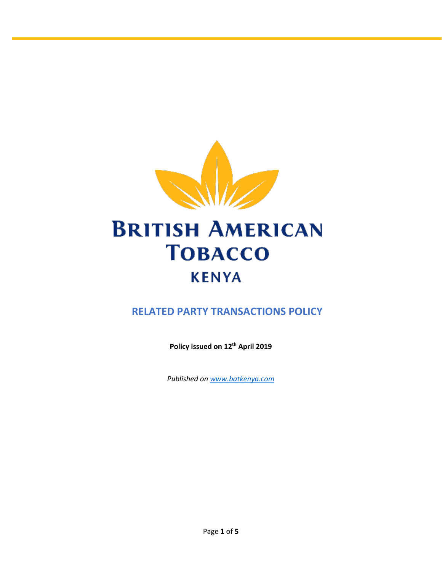

# **BRITISH AMERICAN TOBACCO KENYA**

# **RELATED PARTY TRANSACTIONS POLICY**

**Policy issued on 12th April 2019**

*Published on [www.batkenya.com](http://www.batkenya.com/)*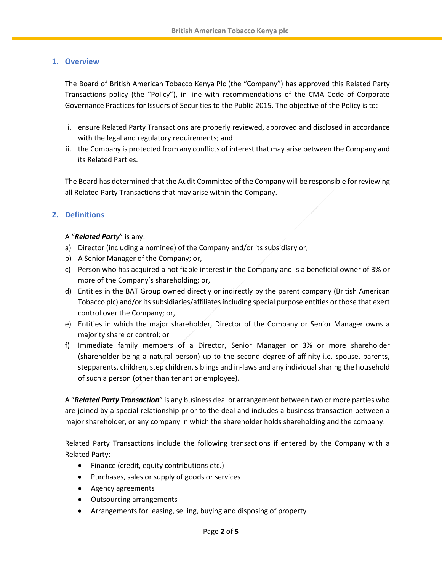# **1. Overview**

The Board of British American Tobacco Kenya Plc (the "Company") has approved this Related Party Transactions policy (the "Policy"), in line with recommendations of the CMA Code of Corporate Governance Practices for Issuers of Securities to the Public 2015. The objective of the Policy is to:

- i. ensure Related Party Transactions are properly reviewed, approved and disclosed in accordance with the legal and regulatory requirements; and
- ii. the Company is protected from any conflicts of interest that may arise between the Company and its Related Parties.

The Board has determined that the Audit Committee of the Company will be responsible for reviewing all Related Party Transactions that may arise within the Company.

# **2. Definitions**

# A "*Related Party*" is any:

- a) Director (including a nominee) of the Company and/or its subsidiary or,
- b) A Senior Manager of the Company; or,
- c) Person who has acquired a notifiable interest in the Company and is a beneficial owner of 3% or more of the Company's shareholding; or,
- d) Entities in the BAT Group owned directly or indirectly by the parent company (British American Tobacco plc) and/or its subsidiaries/affiliates including special purpose entities or those that exert control over the Company; or,
- e) Entities in which the major shareholder, Director of the Company or Senior Manager owns a majority share or control; or
- f) Immediate family members of a Director, Senior Manager or 3% or more shareholder (shareholder being a natural person) up to the second degree of affinity i.e. spouse, parents, stepparents, children, step children, siblings and in-laws and any individual sharing the household of such a person (other than tenant or employee).

A "*Related Party Transaction*" is any business deal or arrangement between two or more parties who are joined by a special relationship prior to the deal and includes a business transaction between a major shareholder, or any company in which the shareholder holds shareholding and the company.

Related Party Transactions include the following transactions if entered by the Company with a Related Party:

- Finance (credit, equity contributions etc.)
- Purchases, sales or supply of goods or services
- Agency agreements
- Outsourcing arrangements
- Arrangements for leasing, selling, buying and disposing of property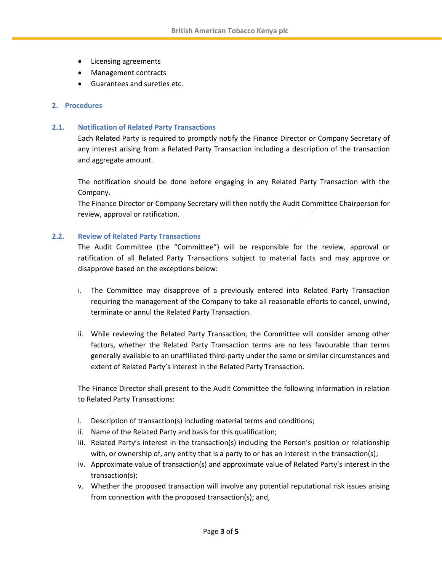- Licensing agreements
- Management contracts
- Guarantees and sureties etc.

#### **2. Procedures**

#### **2.1. Notification of Related Party Transactions**

Each Related Party is required to promptly notify the Finance Director or Company Secretary of any interest arising from a Related Party Transaction including a description of the transaction and aggregate amount.

The notification should be done before engaging in any Related Party Transaction with the Company.

The Finance Director or Company Secretary will then notify the Audit Committee Chairperson for review, approval or ratification.

#### **2.2. Review of Related Party Transactions**

The Audit Committee (the "Committee") will be responsible for the review, approval or ratification of all Related Party Transactions subject to material facts and may approve or disapprove based on the exceptions below:

- i. The Committee may disapprove of a previously entered into Related Party Transaction requiring the management of the Company to take all reasonable efforts to cancel, unwind, terminate or annul the Related Party Transaction.
- ii. While reviewing the Related Party Transaction, the Committee will consider among other factors, whether the Related Party Transaction terms are no less favourable than terms generally available to an unaffiliated third-party under the same or similar circumstances and extent of Related Party's interest in the Related Party Transaction.

The Finance Director shall present to the Audit Committee the following information in relation to Related Party Transactions:

- i. Description of transaction(s) including material terms and conditions;
- ii. Name of the Related Party and basis for this qualification;
- iii. Related Party's interest in the transaction(s) including the Person's position or relationship with, or ownership of, any entity that is a party to or has an interest in the transaction(s);
- iv. Approximate value of transaction(s) and approximate value of Related Party's interest in the transaction(s);
- v. Whether the proposed transaction will involve any potential reputational risk issues arising from connection with the proposed transaction(s); and,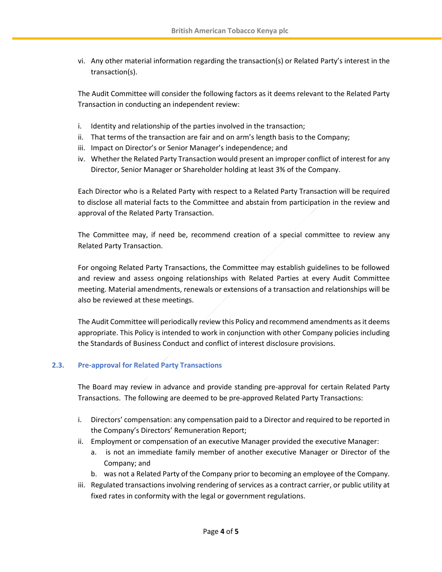vi. Any other material information regarding the transaction(s) or Related Party's interest in the transaction(s).

The Audit Committee will consider the following factors as it deems relevant to the Related Party Transaction in conducting an independent review:

- i. Identity and relationship of the parties involved in the transaction;
- ii. That terms of the transaction are fair and on arm's length basis to the Company;
- iii. Impact on Director's or Senior Manager's independence; and
- iv. Whether the Related Party Transaction would present an improper conflict of interest for any Director, Senior Manager or Shareholder holding at least 3% of the Company.

Each Director who is a Related Party with respect to a Related Party Transaction will be required to disclose all material facts to the Committee and abstain from participation in the review and approval of the Related Party Transaction.

The Committee may, if need be, recommend creation of a special committee to review any Related Party Transaction.

For ongoing Related Party Transactions, the Committee may establish guidelines to be followed and review and assess ongoing relationships with Related Parties at every Audit Committee meeting. Material amendments, renewals or extensions of a transaction and relationships will be also be reviewed at these meetings.

The Audit Committee will periodically review this Policy and recommend amendments as it deems appropriate. This Policy is intended to work in conjunction with other Company policies including the Standards of Business Conduct and conflict of interest disclosure provisions.

# **2.3. Pre-approval for Related Party Transactions**

The Board may review in advance and provide standing pre-approval for certain Related Party Transactions. The following are deemed to be pre-approved Related Party Transactions:

- i. Directors' compensation: any compensation paid to a Director and required to be reported in the Company's Directors' Remuneration Report;
- ii. Employment or compensation of an executive Manager provided the executive Manager:
	- a. is not an immediate family member of another executive Manager or Director of the Company; and
	- b. was not a Related Party of the Company prior to becoming an employee of the Company.
- iii. Regulated transactions involving rendering of services as a contract carrier, or public utility at fixed rates in conformity with the legal or government regulations.